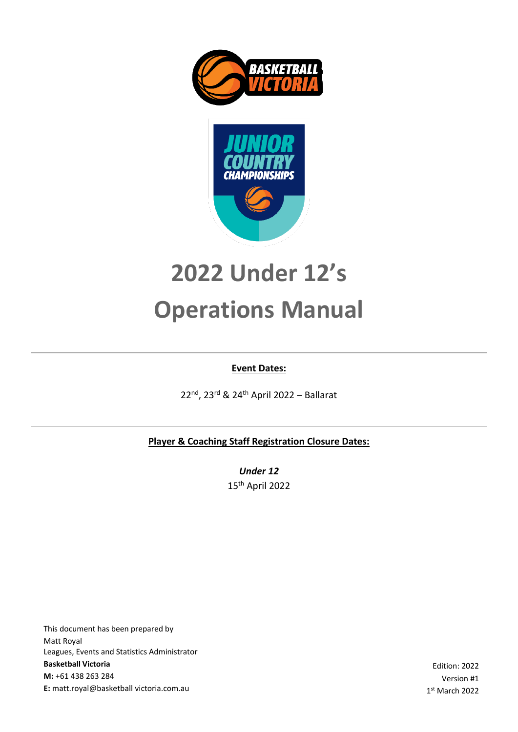



# **2022 Under 12's Operations Manual**

#### **Event Dates:**

22nd, 23rd & 24th April 2022 – Ballarat

**Player & Coaching Staff Registration Closure Dates:**

*Under 12* 15 th April 2022

This document has been prepared by Matt Royal Leagues, Events and Statistics Administrator **Basketball Victoria M:** +61 438 263 284 **E:** matt.royal@basketball victoria.com.au

Edition: 2022 Version #1 1 st March 2022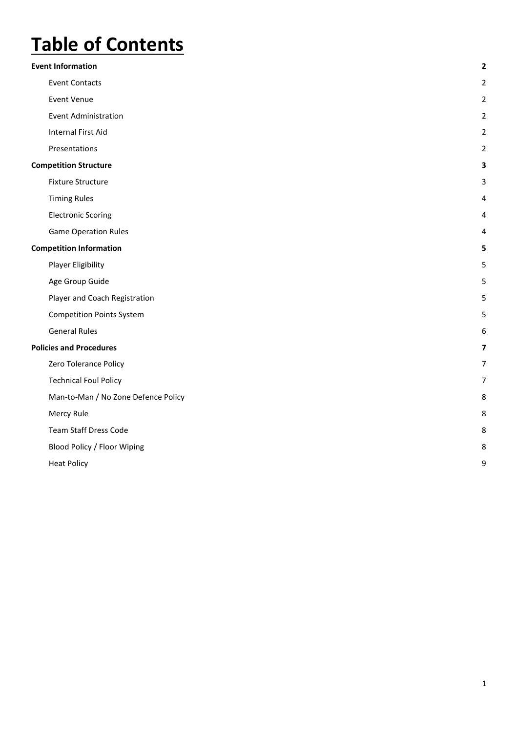## **Table of Contents**

| <b>Event Information</b>            | $\overline{\mathbf{2}}$ |
|-------------------------------------|-------------------------|
| <b>Event Contacts</b>               | $\overline{2}$          |
| <b>Event Venue</b>                  | $\overline{2}$          |
| <b>Event Administration</b>         | 2                       |
| <b>Internal First Aid</b>           | 2                       |
| Presentations                       | $\overline{2}$          |
| <b>Competition Structure</b>        | з                       |
| <b>Fixture Structure</b>            | 3                       |
| <b>Timing Rules</b>                 | 4                       |
| <b>Electronic Scoring</b>           | 4                       |
| <b>Game Operation Rules</b>         | 4                       |
| <b>Competition Information</b>      | 5                       |
| <b>Player Eligibility</b>           | 5                       |
| Age Group Guide                     | 5                       |
| Player and Coach Registration       | 5                       |
| <b>Competition Points System</b>    | 5                       |
| <b>General Rules</b>                | 6                       |
| <b>Policies and Procedures</b>      | 7                       |
| Zero Tolerance Policy               | 7                       |
| <b>Technical Foul Policy</b>        | 7                       |
| Man-to-Man / No Zone Defence Policy | 8                       |
| Mercy Rule                          | 8                       |
| <b>Team Staff Dress Code</b>        | 8                       |
| Blood Policy / Floor Wiping         | 8                       |
| <b>Heat Policy</b>                  | 9                       |
|                                     |                         |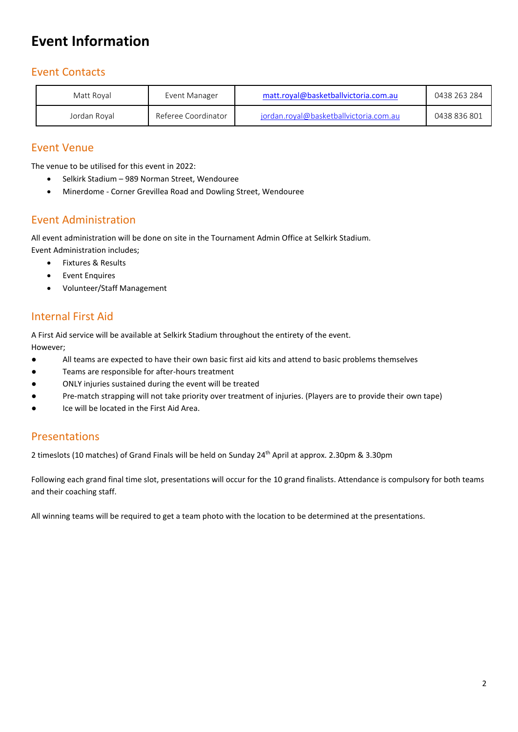## <span id="page-2-0"></span>**Event Information**

#### <span id="page-2-1"></span>Event Contacts

| Matt Roval   | Event Manager       | matt.royal@basketballvictoria.com.au   | 0438 263 284 |
|--------------|---------------------|----------------------------------------|--------------|
| Jordan Royal | Referee Coordinator | iordan.roval@basketballvictoria.com.au | 0438 836 801 |

#### <span id="page-2-2"></span>Event Venue

The venue to be utilised for this event in 2022:

- Selkirk Stadium 989 Norman Street, Wendouree
- Minerdome Corner Grevillea Road and Dowling Street, Wendouree

#### <span id="page-2-3"></span>Event Administration

All event administration will be done on site in the Tournament Admin Office at Selkirk Stadium. Event Administration includes;

- Fixtures & Results
- **Event Enquires**
- Volunteer/Staff Management

#### <span id="page-2-4"></span>Internal First Aid

A First Aid service will be available at Selkirk Stadium throughout the entirety of the event. However;

- All teams are expected to have their own basic first aid kits and attend to basic problems themselves
- Teams are responsible for after-hours treatment
- ONLY injuries sustained during the event will be treated
- Pre-match strapping will not take priority over treatment of injuries. (Players are to provide their own tape)
- <span id="page-2-5"></span>● Ice will be located in the First Aid Area.

#### Presentations

2 timeslots (10 matches) of Grand Finals will be held on Sunday 24<sup>th</sup> April at approx. 2.30pm & 3.30pm

Following each grand final time slot, presentations will occur for the 10 grand finalists. Attendance is compulsory for both teams and their coaching staff.

All winning teams will be required to get a team photo with the location to be determined at the presentations.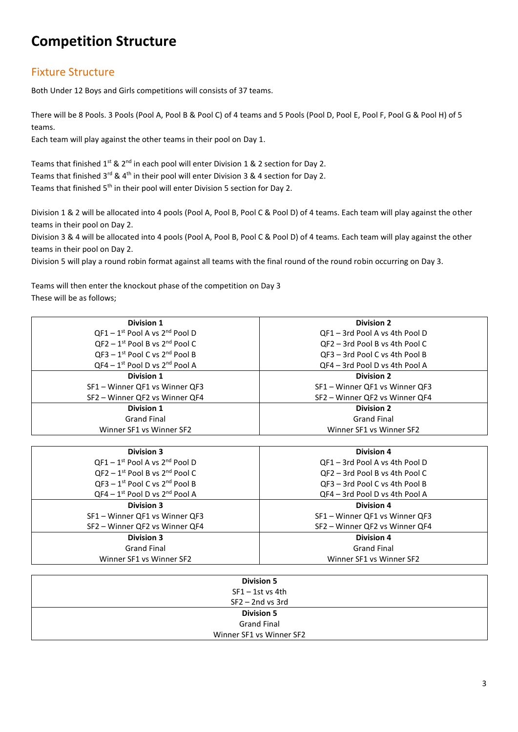## <span id="page-3-0"></span>**Competition Structure**

#### <span id="page-3-1"></span>Fixture Structure

Both Under 12 Boys and Girls competitions will consists of 37 teams.

There will be 8 Pools. 3 Pools (Pool A, Pool B & Pool C) of 4 teams and 5 Pools (Pool D, Pool E, Pool F, Pool G & Pool H) of 5 teams.

Each team will play against the other teams in their pool on Day 1.

Teams that finished  $1^{st}$  &  $2^{nd}$  in each pool will enter Division 1 & 2 section for Day 2. Teams that finished  $3^{rd}$  & 4<sup>th</sup> in their pool will enter Division 3 & 4 section for Day 2. Teams that finished 5<sup>th</sup> in their pool will enter Division 5 section for Day 2.

Division 1 & 2 will be allocated into 4 pools (Pool A, Pool B, Pool C & Pool D) of 4 teams. Each team will play against the other teams in their pool on Day 2.

Division 3 & 4 will be allocated into 4 pools (Pool A, Pool B, Pool C & Pool D) of 4 teams. Each team will play against the other teams in their pool on Day 2.

Division 5 will play a round robin format against all teams with the final round of the round robin occurring on Day 3.

Teams will then enter the knockout phase of the competition on Day 3 These will be as follows;

| <b>Division 1</b>                                 | <b>Division 2</b>              |
|---------------------------------------------------|--------------------------------|
| $QF1 - 1^{st}$ Pool A vs $2^{nd}$ Pool D          | QF1 - 3rd Pool A vs 4th Pool D |
| $QF2 - 1$ <sup>st</sup> Pool B vs $2^{nd}$ Pool C | QF2 - 3rd Pool B vs 4th Pool C |
| $OF3 - 1st$ Pool C vs $2nd$ Pool B                | QF3 - 3rd Pool C vs 4th Pool B |
| $QF4 - 1$ <sup>st</sup> Pool D vs $2^{nd}$ Pool A | QF4 – 3rd Pool D vs 4th Pool A |
| <b>Division 1</b>                                 | <b>Division 2</b>              |
| SF1 - Winner QF1 vs Winner QF3                    | SF1 - Winner QF1 vs Winner QF3 |
| SF2 – Winner QF2 vs Winner QF4                    | SF2 – Winner QF2 vs Winner QF4 |
| <b>Division 1</b>                                 | <b>Division 2</b>              |
| <b>Grand Final</b>                                | <b>Grand Final</b>             |
| Winner SF1 vs Winner SF2                          | Winner SF1 vs Winner SF2       |
|                                                   |                                |
| <b>Division 3</b>                                 | <b>Division 4</b>              |
| $QF1 - 1$ <sup>st</sup> Pool A vs $2^{nd}$ Pool D | QF1 - 3rd Pool A vs 4th Pool D |
| $QF2 - 1st$ Pool B vs $2nd$ Pool C                | QF2 - 3rd Pool B vs 4th Pool C |
| $QF3 - 1st$ Pool C vs $2nd$ Pool B                | QF3 - 3rd Pool C vs 4th Pool B |
| $QFA - 1st$ Pool D vs $2nd$ Pool A                | QF4 - 3rd Pool D vs 4th Pool A |
| <b>Division 3</b>                                 | <b>Division 4</b>              |
| SF1 - Winner QF1 vs Winner QF3                    | SF1 - Winner QF1 vs Winner QF3 |
| SF2 - Winner QF2 vs Winner QF4                    | SF2 – Winner QF2 vs Winner QF4 |
| <b>Division 3</b>                                 | <b>Division 4</b>              |
| <b>Grand Final</b>                                | <b>Grand Final</b>             |
| Winner SF1 vs Winner SF2                          | Winner SF1 vs Winner SF2       |

| <b>Division 5</b>        |
|--------------------------|
| $SF1 - 1st$ vs 4th       |
| $SF2 - 2nd$ vs 3rd       |
| <b>Division 5</b>        |
| <b>Grand Final</b>       |
| Winner SF1 vs Winner SF2 |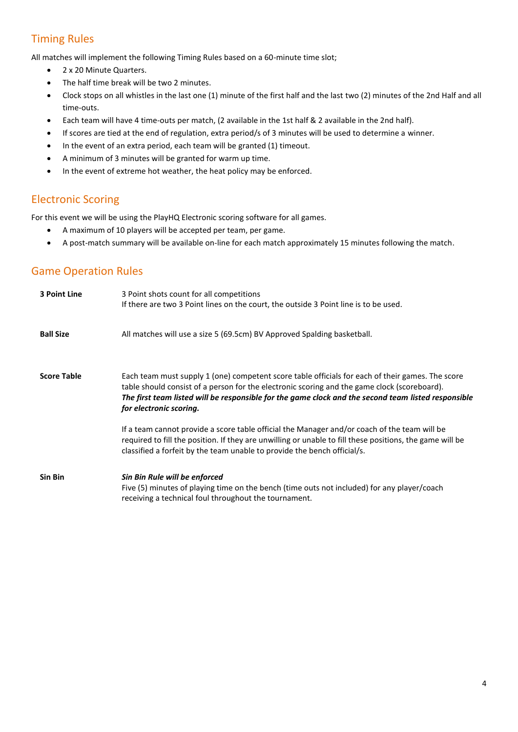#### <span id="page-4-0"></span>Timing Rules

All matches will implement the following Timing Rules based on a 60-minute time slot;

- 2 x 20 Minute Quarters.
- The half time break will be two 2 minutes.
- Clock stops on all whistles in the last one (1) minute of the first half and the last two (2) minutes of the 2nd Half and all time-outs.
- Each team will have 4 time-outs per match, (2 available in the 1st half & 2 available in the 2nd half).
- If scores are tied at the end of regulation, extra period/s of 3 minutes will be used to determine a winner.
- In the event of an extra period, each team will be granted (1) timeout.
- A minimum of 3 minutes will be granted for warm up time.
- In the event of extreme hot weather, the heat policy may be enforced.

#### <span id="page-4-1"></span>Electronic Scoring

For this event we will be using the PlayHQ Electronic scoring software for all games.

- A maximum of 10 players will be accepted per team, per game.
- A post-match summary will be available on-line for each match approximately 15 minutes following the match.

#### <span id="page-4-2"></span>Game Operation Rules

| 3 Point Line       | 3 Point shots count for all competitions<br>If there are two 3 Point lines on the court, the outside 3 Point line is to be used.                                                                                                                                                                                                   |  |  |  |
|--------------------|------------------------------------------------------------------------------------------------------------------------------------------------------------------------------------------------------------------------------------------------------------------------------------------------------------------------------------|--|--|--|
| <b>Ball Size</b>   | All matches will use a size 5 (69.5cm) BV Approved Spalding basketball.                                                                                                                                                                                                                                                            |  |  |  |
| <b>Score Table</b> | Each team must supply 1 (one) competent score table officials for each of their games. The score<br>table should consist of a person for the electronic scoring and the game clock (scoreboard).<br>The first team listed will be responsible for the game clock and the second team listed responsible<br>for electronic scoring. |  |  |  |
|                    | If a team cannot provide a score table official the Manager and/or coach of the team will be<br>required to fill the position. If they are unwilling or unable to fill these positions, the game will be<br>classified a forfeit by the team unable to provide the bench official/s.                                               |  |  |  |
| Sin Bin            | Sin Bin Rule will be enforced<br>Five (5) minutes of playing time on the bench (time outs not included) for any player/coach<br>receiving a technical foul throughout the tournament.                                                                                                                                              |  |  |  |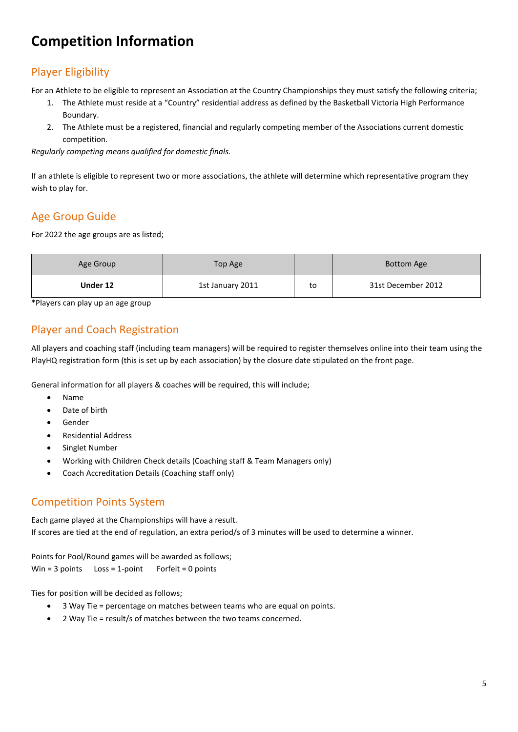## <span id="page-5-0"></span>**Competition Information**

#### <span id="page-5-1"></span>Player Eligibility

For an Athlete to be eligible to represent an Association at the Country Championships they must satisfy the following criteria;

- 1. The Athlete must reside at a "Country" residential address as defined by the Basketball Victoria High Performance Boundary.
- 2. The Athlete must be a registered, financial and regularly competing member of the Associations current domestic competition.

*Regularly competing means qualified for domestic finals.*

If an athlete is eligible to represent two or more associations, the athlete will determine which representative program they wish to play for.

#### <span id="page-5-2"></span>Age Group Guide

For 2022 the age groups are as listed;

| Age Group<br>Top Age |                  |    | <b>Bottom Age</b>  |
|----------------------|------------------|----|--------------------|
| Under 12             | 1st January 2011 | to | 31st December 2012 |

<span id="page-5-3"></span>\*Players can play up an age group

#### Player and Coach Registration

All players and coaching staff (including team managers) will be required to register themselves online into their team using the PlayHQ registration form (this is set up by each association) by the closure date stipulated on the front page.

General information for all players & coaches will be required, this will include;

- Name
- Date of birth
- **Gender**
- Residential Address
- Singlet Number
- Working with Children Check details (Coaching staff & Team Managers only)
- Coach Accreditation Details (Coaching staff only)

#### <span id="page-5-4"></span>Competition Points System

Each game played at the Championships will have a result. If scores are tied at the end of regulation, an extra period/s of 3 minutes will be used to determine a winner.

Points for Pool/Round games will be awarded as follows; Win =  $3$  points Loss =  $1$ -point Forfeit =  $0$  points

Ties for position will be decided as follows;

- 3 Way Tie = percentage on matches between teams who are equal on points.
- 2 Way Tie = result/s of matches between the two teams concerned.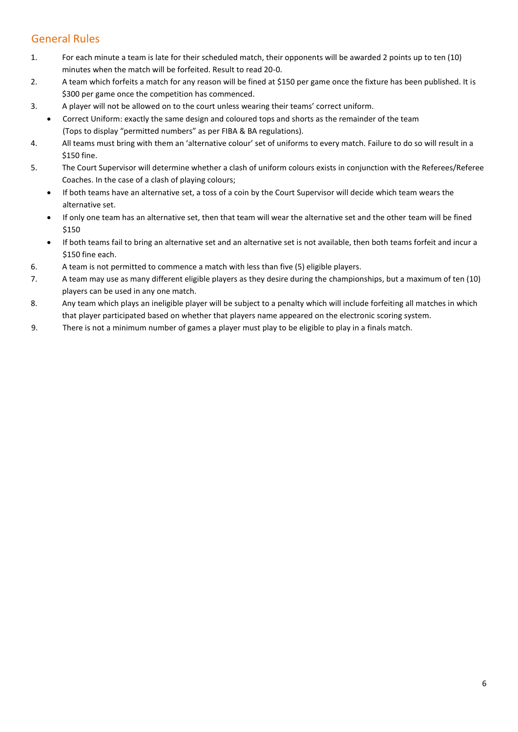#### <span id="page-6-0"></span>General Rules

- 1. For each minute a team is late for their scheduled match, their opponents will be awarded 2 points up to ten (10) minutes when the match will be forfeited. Result to read 20-0.
- 2. A team which forfeits a match for any reason will be fined at \$150 per game once the fixture has been published. It is \$300 per game once the competition has commenced.
- 3. A player will not be allowed on to the court unless wearing their teams' correct uniform.
	- Correct Uniform: exactly the same design and coloured tops and shorts as the remainder of the team (Tops to display "permitted numbers" as per FIBA & BA regulations).
- 4. All teams must bring with them an 'alternative colour' set of uniforms to every match. Failure to do so will result in a \$150 fine.
- 5. The Court Supervisor will determine whether a clash of uniform colours exists in conjunction with the Referees/Referee Coaches. In the case of a clash of playing colours;
	- If both teams have an alternative set, a toss of a coin by the Court Supervisor will decide which team wears the alternative set.
	- If only one team has an alternative set, then that team will wear the alternative set and the other team will be fined \$150
	- If both teams fail to bring an alternative set and an alternative set is not available, then both teams forfeit and incur a \$150 fine each.
- 6. A team is not permitted to commence a match with less than five (5) eligible players.
- 7. A team may use as many different eligible players as they desire during the championships, but a maximum of ten (10) players can be used in any one match.
- 8. Any team which plays an ineligible player will be subject to a penalty which will include forfeiting all matches in which that player participated based on whether that players name appeared on the electronic scoring system.
- 9. There is not a minimum number of games a player must play to be eligible to play in a finals match.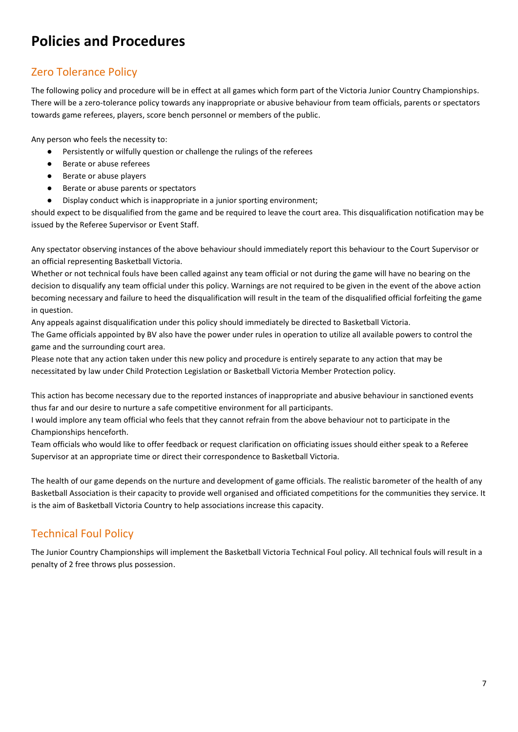## <span id="page-7-0"></span>**Policies and Procedures**

#### <span id="page-7-1"></span>Zero Tolerance Policy

The following policy and procedure will be in effect at all games which form part of the Victoria Junior Country Championships. There will be a zero-tolerance policy towards any inappropriate or abusive behaviour from team officials, parents or spectators towards game referees, players, score bench personnel or members of the public.

Any person who feels the necessity to:

- Persistently or wilfully question or challenge the rulings of the referees
- Berate or abuse referees
- Berate or abuse players
- Berate or abuse parents or spectators
- Display conduct which is inappropriate in a junior sporting environment;

should expect to be disqualified from the game and be required to leave the court area. This disqualification notification may be issued by the Referee Supervisor or Event Staff.

Any spectator observing instances of the above behaviour should immediately report this behaviour to the Court Supervisor or an official representing Basketball Victoria.

Whether or not technical fouls have been called against any team official or not during the game will have no bearing on the decision to disqualify any team official under this policy. Warnings are not required to be given in the event of the above action becoming necessary and failure to heed the disqualification will result in the team of the disqualified official forfeiting the game in question.

Any appeals against disqualification under this policy should immediately be directed to Basketball Victoria.

The Game officials appointed by BV also have the power under rules in operation to utilize all available powers to control the game and the surrounding court area.

Please note that any action taken under this new policy and procedure is entirely separate to any action that may be necessitated by law under Child Protection Legislation or Basketball Victoria Member Protection policy.

This action has become necessary due to the reported instances of inappropriate and abusive behaviour in sanctioned events thus far and our desire to nurture a safe competitive environment for all participants.

I would implore any team official who feels that they cannot refrain from the above behaviour not to participate in the Championships henceforth.

Team officials who would like to offer feedback or request clarification on officiating issues should either speak to a Referee Supervisor at an appropriate time or direct their correspondence to Basketball Victoria.

The health of our game depends on the nurture and development of game officials. The realistic barometer of the health of any Basketball Association is their capacity to provide well organised and officiated competitions for the communities they service. It is the aim of Basketball Victoria Country to help associations increase this capacity.

#### <span id="page-7-2"></span>Technical Foul Policy

The Junior Country Championships will implement the Basketball Victoria Technical Foul policy. All technical fouls will result in a penalty of 2 free throws plus possession.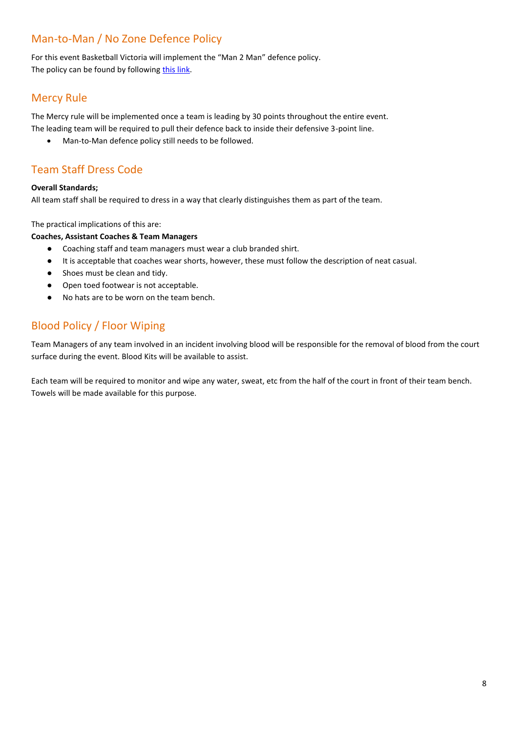#### <span id="page-8-0"></span>Man-to-Man / No Zone Defence Policy

For this event Basketball Victoria will implement the "Man 2 Man" defence policy. The policy can be found by following [this link.](https://basketballvictoria.aws-sydney.thirdlight.com/link/l0r8g4gdyn32-4g6bhi)

#### <span id="page-8-1"></span>Mercy Rule

The Mercy rule will be implemented once a team is leading by 30 points throughout the entire event. The leading team will be required to pull their defence back to inside their defensive 3-point line.

• Man-to-Man defence policy still needs to be followed.

#### <span id="page-8-2"></span>Team Staff Dress Code

#### **Overall Standards;**

All team staff shall be required to dress in a way that clearly distinguishes them as part of the team.

The practical implications of this are:

#### **Coaches, Assistant Coaches & Team Managers**

- Coaching staff and team managers must wear a club branded shirt.
- It is acceptable that coaches wear shorts, however, these must follow the description of neat casual.
- Shoes must be clean and tidy.
- Open toed footwear is not acceptable.
- No hats are to be worn on the team bench.

#### <span id="page-8-3"></span>Blood Policy / Floor Wiping

Team Managers of any team involved in an incident involving blood will be responsible for the removal of blood from the court surface during the event. Blood Kits will be available to assist.

Each team will be required to monitor and wipe any water, sweat, etc from the half of the court in front of their team bench. Towels will be made available for this purpose.